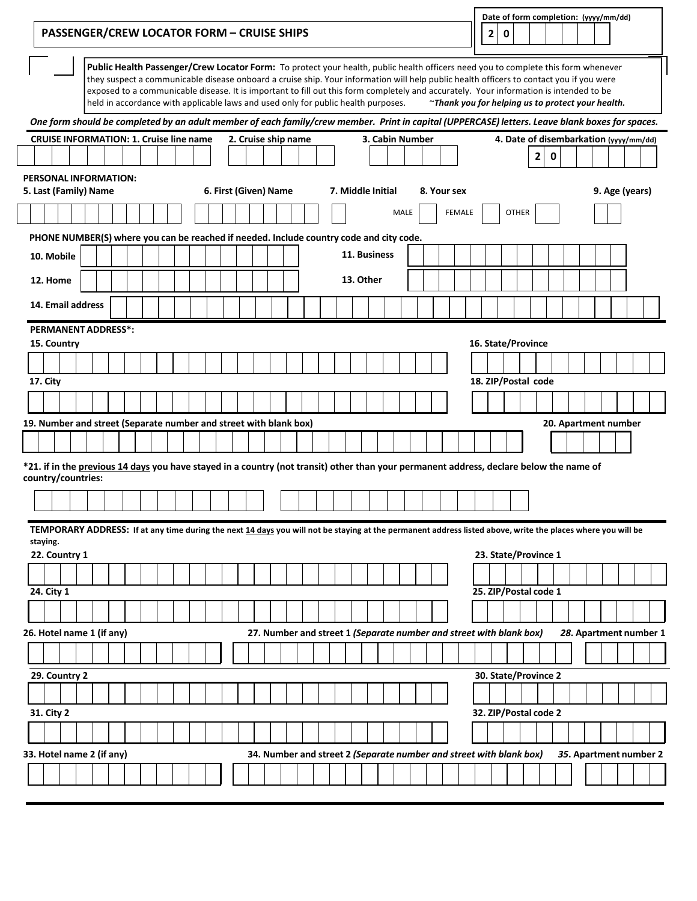| <b>PASSENGER/CREW LOCATOR FORM - CRUISE SHIPS</b>                                                                                                           |                                                                                                                                                                                                                                                                                                                                                                                                                                                                                                             |  |  |  |                       |  |  |                                                                     |              |      |                 |             | 2 | 0 |                       |   |   |  | Date of form completion: (yyyy/mm/dd)                     |                        |
|-------------------------------------------------------------------------------------------------------------------------------------------------------------|-------------------------------------------------------------------------------------------------------------------------------------------------------------------------------------------------------------------------------------------------------------------------------------------------------------------------------------------------------------------------------------------------------------------------------------------------------------------------------------------------------------|--|--|--|-----------------------|--|--|---------------------------------------------------------------------|--------------|------|-----------------|-------------|---|---|-----------------------|---|---|--|-----------------------------------------------------------|------------------------|
|                                                                                                                                                             | Public Health Passenger/Crew Locator Form: To protect your health, public health officers need you to complete this form whenever<br>they suspect a communicable disease onboard a cruise ship. Your information will help public health officers to contact you if you were<br>exposed to a communicable disease. It is important to fill out this form completely and accurately. Your information is intended to be<br>held in accordance with applicable laws and used only for public health purposes. |  |  |  |                       |  |  |                                                                     |              |      |                 |             |   |   |                       |   |   |  | $\gamma$ Thank you for helping us to protect your health. |                        |
| One form should be completed by an adult member of each family/crew member. Print in capital (UPPERCASE) letters. Leave blank boxes for spaces.             |                                                                                                                                                                                                                                                                                                                                                                                                                                                                                                             |  |  |  |                       |  |  |                                                                     |              |      |                 |             |   |   |                       |   |   |  |                                                           |                        |
| <b>CRUISE INFORMATION: 1. Cruise line name</b>                                                                                                              |                                                                                                                                                                                                                                                                                                                                                                                                                                                                                                             |  |  |  | 2. Cruise ship name   |  |  |                                                                     |              |      | 3. Cabin Number |             |   |   |                       |   |   |  | 4. Date of disembarkation (yyyy/mm/dd)                    |                        |
|                                                                                                                                                             |                                                                                                                                                                                                                                                                                                                                                                                                                                                                                                             |  |  |  |                       |  |  |                                                                     |              |      |                 |             |   |   |                       | 2 | 0 |  |                                                           |                        |
| <b>PERSONAL INFORMATION:</b><br>5. Last (Family) Name                                                                                                       |                                                                                                                                                                                                                                                                                                                                                                                                                                                                                                             |  |  |  | 6. First (Given) Name |  |  | 7. Middle Initial                                                   |              |      |                 | 8. Your sex |   |   |                       |   |   |  | 9. Age (years)                                            |                        |
|                                                                                                                                                             |                                                                                                                                                                                                                                                                                                                                                                                                                                                                                                             |  |  |  |                       |  |  |                                                                     |              | MALE |                 | FEMALE      |   |   | <b>OTHER</b>          |   |   |  |                                                           |                        |
| PHONE NUMBER(S) where you can be reached if needed. Include country code and city code.                                                                     |                                                                                                                                                                                                                                                                                                                                                                                                                                                                                                             |  |  |  |                       |  |  |                                                                     |              |      |                 |             |   |   |                       |   |   |  |                                                           |                        |
| 10. Mobile                                                                                                                                                  |                                                                                                                                                                                                                                                                                                                                                                                                                                                                                                             |  |  |  |                       |  |  |                                                                     | 11. Business |      |                 |             |   |   |                       |   |   |  |                                                           |                        |
| 12. Home                                                                                                                                                    |                                                                                                                                                                                                                                                                                                                                                                                                                                                                                                             |  |  |  |                       |  |  |                                                                     | 13. Other    |      |                 |             |   |   |                       |   |   |  |                                                           |                        |
|                                                                                                                                                             |                                                                                                                                                                                                                                                                                                                                                                                                                                                                                                             |  |  |  |                       |  |  |                                                                     |              |      |                 |             |   |   |                       |   |   |  |                                                           |                        |
| 14. Email address                                                                                                                                           |                                                                                                                                                                                                                                                                                                                                                                                                                                                                                                             |  |  |  |                       |  |  |                                                                     |              |      |                 |             |   |   |                       |   |   |  |                                                           |                        |
| <b>PERMANENT ADDRESS*:</b>                                                                                                                                  |                                                                                                                                                                                                                                                                                                                                                                                                                                                                                                             |  |  |  |                       |  |  |                                                                     |              |      |                 |             |   |   |                       |   |   |  |                                                           |                        |
| 15. Country                                                                                                                                                 |                                                                                                                                                                                                                                                                                                                                                                                                                                                                                                             |  |  |  |                       |  |  |                                                                     |              |      |                 |             |   |   | 16. State/Province    |   |   |  |                                                           |                        |
|                                                                                                                                                             |                                                                                                                                                                                                                                                                                                                                                                                                                                                                                                             |  |  |  |                       |  |  |                                                                     |              |      |                 |             |   |   |                       |   |   |  |                                                           |                        |
| 17. City                                                                                                                                                    |                                                                                                                                                                                                                                                                                                                                                                                                                                                                                                             |  |  |  |                       |  |  |                                                                     |              |      |                 |             |   |   | 18. ZIP/Postal code   |   |   |  |                                                           |                        |
|                                                                                                                                                             |                                                                                                                                                                                                                                                                                                                                                                                                                                                                                                             |  |  |  |                       |  |  |                                                                     |              |      |                 |             |   |   |                       |   |   |  |                                                           |                        |
| 19. Number and street (Separate number and street with blank box)                                                                                           |                                                                                                                                                                                                                                                                                                                                                                                                                                                                                                             |  |  |  |                       |  |  |                                                                     |              |      |                 |             |   |   |                       |   |   |  | 20. Apartment number                                      |                        |
|                                                                                                                                                             |                                                                                                                                                                                                                                                                                                                                                                                                                                                                                                             |  |  |  |                       |  |  |                                                                     |              |      |                 |             |   |   |                       |   |   |  |                                                           |                        |
| *21. if in the previous 14 days you have stayed in a country (not transit) other than your permanent address, declare below the name of                     |                                                                                                                                                                                                                                                                                                                                                                                                                                                                                                             |  |  |  |                       |  |  |                                                                     |              |      |                 |             |   |   |                       |   |   |  |                                                           |                        |
| country/countries:                                                                                                                                          |                                                                                                                                                                                                                                                                                                                                                                                                                                                                                                             |  |  |  |                       |  |  |                                                                     |              |      |                 |             |   |   |                       |   |   |  |                                                           |                        |
|                                                                                                                                                             |                                                                                                                                                                                                                                                                                                                                                                                                                                                                                                             |  |  |  |                       |  |  |                                                                     |              |      |                 |             |   |   |                       |   |   |  |                                                           |                        |
| TEMPORARY ADDRESS: If at any time during the next 14 days you will not be staying at the permanent address listed above, write the places where you will be |                                                                                                                                                                                                                                                                                                                                                                                                                                                                                                             |  |  |  |                       |  |  |                                                                     |              |      |                 |             |   |   |                       |   |   |  |                                                           |                        |
| staying.                                                                                                                                                    |                                                                                                                                                                                                                                                                                                                                                                                                                                                                                                             |  |  |  |                       |  |  |                                                                     |              |      |                 |             |   |   |                       |   |   |  |                                                           |                        |
| 22. Country 1                                                                                                                                               |                                                                                                                                                                                                                                                                                                                                                                                                                                                                                                             |  |  |  |                       |  |  |                                                                     |              |      |                 |             |   |   | 23. State/Province 1  |   |   |  |                                                           |                        |
|                                                                                                                                                             |                                                                                                                                                                                                                                                                                                                                                                                                                                                                                                             |  |  |  |                       |  |  |                                                                     |              |      |                 |             |   |   |                       |   |   |  |                                                           |                        |
| 24. City 1                                                                                                                                                  |                                                                                                                                                                                                                                                                                                                                                                                                                                                                                                             |  |  |  |                       |  |  |                                                                     |              |      |                 |             |   |   | 25. ZIP/Postal code 1 |   |   |  |                                                           |                        |
|                                                                                                                                                             |                                                                                                                                                                                                                                                                                                                                                                                                                                                                                                             |  |  |  |                       |  |  |                                                                     |              |      |                 |             |   |   |                       |   |   |  |                                                           |                        |
| 26. Hotel name 1 (if any)                                                                                                                                   |                                                                                                                                                                                                                                                                                                                                                                                                                                                                                                             |  |  |  |                       |  |  | 27. Number and street 1 (Separate number and street with blank box) |              |      |                 |             |   |   |                       |   |   |  |                                                           | 28. Apartment number 1 |
|                                                                                                                                                             |                                                                                                                                                                                                                                                                                                                                                                                                                                                                                                             |  |  |  |                       |  |  |                                                                     |              |      |                 |             |   |   |                       |   |   |  |                                                           |                        |
| 29. Country 2                                                                                                                                               |                                                                                                                                                                                                                                                                                                                                                                                                                                                                                                             |  |  |  |                       |  |  |                                                                     |              |      |                 |             |   |   | 30. State/Province 2  |   |   |  |                                                           |                        |
|                                                                                                                                                             |                                                                                                                                                                                                                                                                                                                                                                                                                                                                                                             |  |  |  |                       |  |  |                                                                     |              |      |                 |             |   |   |                       |   |   |  |                                                           |                        |
| 31. City 2                                                                                                                                                  |                                                                                                                                                                                                                                                                                                                                                                                                                                                                                                             |  |  |  |                       |  |  |                                                                     |              |      |                 |             |   |   | 32. ZIP/Postal code 2 |   |   |  |                                                           |                        |
|                                                                                                                                                             |                                                                                                                                                                                                                                                                                                                                                                                                                                                                                                             |  |  |  |                       |  |  |                                                                     |              |      |                 |             |   |   |                       |   |   |  |                                                           |                        |
| 33. Hotel name 2 (if any)                                                                                                                                   |                                                                                                                                                                                                                                                                                                                                                                                                                                                                                                             |  |  |  |                       |  |  | 34. Number and street 2 (Separate number and street with blank box) |              |      |                 |             |   |   |                       |   |   |  |                                                           | 35. Apartment number 2 |
|                                                                                                                                                             |                                                                                                                                                                                                                                                                                                                                                                                                                                                                                                             |  |  |  |                       |  |  |                                                                     |              |      |                 |             |   |   |                       |   |   |  |                                                           |                        |
|                                                                                                                                                             |                                                                                                                                                                                                                                                                                                                                                                                                                                                                                                             |  |  |  |                       |  |  |                                                                     |              |      |                 |             |   |   |                       |   |   |  |                                                           |                        |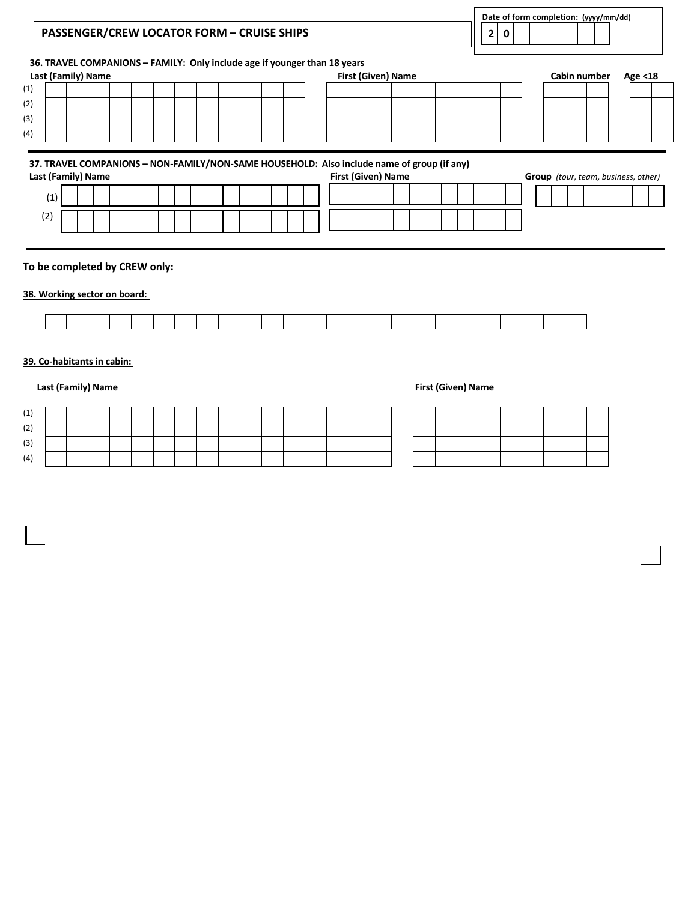|            |                    |  |  |  |  |  | 36. TRAVEL COMPANIONS - FAMILY: Only include age if younger than 18 years                                               |  |  |  |  |                                            |         |
|------------|--------------------|--|--|--|--|--|-------------------------------------------------------------------------------------------------------------------------|--|--|--|--|--------------------------------------------|---------|
|            | Last (Family) Name |  |  |  |  |  | <b>First (Given) Name</b>                                                                                               |  |  |  |  | Cabin number                               | Age <18 |
|            |                    |  |  |  |  |  |                                                                                                                         |  |  |  |  |                                            |         |
|            |                    |  |  |  |  |  |                                                                                                                         |  |  |  |  |                                            |         |
|            |                    |  |  |  |  |  |                                                                                                                         |  |  |  |  |                                            |         |
|            |                    |  |  |  |  |  |                                                                                                                         |  |  |  |  |                                            |         |
|            |                    |  |  |  |  |  |                                                                                                                         |  |  |  |  |                                            |         |
|            | Last (Family) Name |  |  |  |  |  | 37. TRAVEL COMPANIONS – NON-FAMILY/NON-SAME HOUSEHOLD: Also include name of group (if any)<br><b>First (Given) Name</b> |  |  |  |  | <b>Group</b> (tour, team, business, other) |         |
|            |                    |  |  |  |  |  |                                                                                                                         |  |  |  |  |                                            |         |
| (1)<br>(2) |                    |  |  |  |  |  |                                                                                                                         |  |  |  |  |                                            |         |

## **38. Working sector on board:**

## **39. Co-habitants in cabin:**

## **Last (Family)** Name **First (Given)** Name

| $\overline{a}$    |  |  |  |  |  |  |  |  |  |  |  |  |
|-------------------|--|--|--|--|--|--|--|--|--|--|--|--|
| $\sqrt{2}$<br>۱۷. |  |  |  |  |  |  |  |  |  |  |  |  |
| (3)               |  |  |  |  |  |  |  |  |  |  |  |  |
| (4)               |  |  |  |  |  |  |  |  |  |  |  |  |

| ---- | —      | ____ | ______                                                                                                                                                                                                                                           | _____                                                                                                                         | the contract of the contract of the contract of<br>_____                                                                       |  |  |
|------|--------|------|--------------------------------------------------------------------------------------------------------------------------------------------------------------------------------------------------------------------------------------------------|-------------------------------------------------------------------------------------------------------------------------------|--------------------------------------------------------------------------------------------------------------------------------|--|--|
|      |        |      | <u> Termin a shekara ta 1989 a Tanzania a Tanzania a Tanzania a Tanzania a Tanzania a Tanzania a Tanzania a Tanza</u><br>the contract of the contract of the contract of the contract of the contract of the contract of the contract of<br>____ | <u> Termin a shekara ta 1989 a Tanzania a Tanzania a Tanzania a Tanzania a Tanzania a Tanzania a Tanzania a Tanza</u><br>____ | <u> Termin a shekara ta 1989 a Tanzania a Tanzania a Tanzania a Tanzania a Tanzania a Tanzania a Tanzania a Tanza</u><br>_____ |  |  |
|      | —      |      | $\sim$ $\sim$                                                                                                                                                                                                                                    | <u> Termin a shekara ta 1989 a Tanzania a Tanzania a Tanzania a Tanzania a Tanzania a Tanzania a Tanzania a Tanza</u>         | <u> Termin a shekara ta 1989 a Tanzania a Tanzania a Tanzania a Tanzania a Tanzania a Tanzania a Tanzania a Tanza</u>          |  |  |
|      | ______ | ____ |                                                                                                                                                                                                                                                  | $\overline{\phantom{0}}$                                                                                                      |                                                                                                                                |  |  |